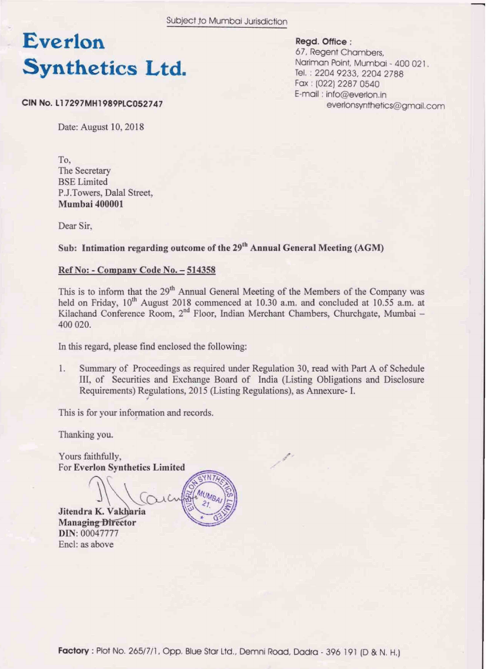Subject to Mumbai Jurisdiction

## Everlon **Synthetics Ltd.**

Regd. Office:

67, Regent Chambers, Nariman Point, Mumbai - 400 021. Tel.: 2204 9233, 2204 2788 Fax: (022) 2287 0540 E-mail: info@everlon.in everlonsynthetics@gmail.com

CIN No. L17297MH1989PLC052747

Date: August 10, 2018

To, The Secretary **BSE** Limited P.J.Towers, Dalal Street, **Mumbai 400001** 

Dear Sir.

### Sub: Intimation regarding outcome of the 29<sup>th</sup> Annual General Meeting (AGM)

#### Ref No: - Company Code No. - 514358

This is to inform that the 29<sup>th</sup> Annual General Meeting of the Members of the Company was held on Friday, 10<sup>th</sup> August 2018 commenced at 10.30 a.m. and concluded at 10.55 a.m. at Kilachand Conference Room, 2<sup>nd</sup> Floor, Indian Merchant Chambers, Churchgate, Mumbai – 400 020.

In this regard, please find enclosed the following:

1. Summary of Proceedings as required under Regulation 30, read with Part A of Schedule III, of Securities and Exchange Board of India (Listing Obligations and Disclosure Requirements) Regulations, 2015 (Listing Regulations), as Annexure- I.

This is for your information and records.

Thanking you.

Yours faithfully, For Everlon Synthetics Limited

Jitendra K. Vakharia **Managing Director** DIN: 00047777 Encl: as above